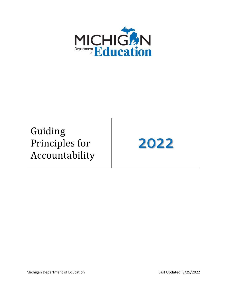

# Guiding Principles for Accountability

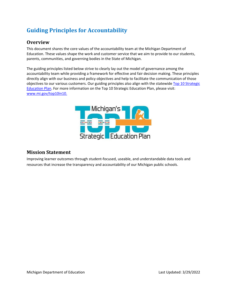## **Guiding Principles for Accountability**

#### **Overview**

 Education. These values shape the work and customer service that we aim to provide to our students, This document shares the core values of the accountability team at the Michigan Department of parents, communities, and governing bodies in the State of Michigan.

 The guiding principles listed below strive to clearly lay out the model of governance among the accountability team while providing a framework for effective and fair decision making. These principles directly align with our business and policy objectives and help to facilitate the communication of those objectives to our various customers. Our guiding principles also align with the statewide [Top 10 Strategic](https://www.michigan.gov/mde/-/media/Project/Websites/mde/top10/top_10_mi_strategic_ed_planfinal_012822.pdf)  [Education Plan.](https://www.michigan.gov/mde/-/media/Project/Websites/mde/top10/top_10_mi_strategic_ed_planfinal_012822.pdf) For more information on the Top 10 Strategic Education Plan, please visit: [www.mi.gov/top10in10.](https://www.mi.gov/top10in10)



#### **Mission Statement**

Improving learner outcomes through student-focused, useable, and understandable data tools and resources that increase the transparency and accountability of our Michigan public schools.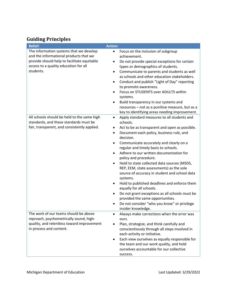### **Guiding Principles**

| <b>Belief:</b>                                                                                                                                                                         | <b>Action:</b>                                                                                                                                                                                                                                                                                                                                                                                                                                                                                                                                                                                                                                                                                                                                                                                 |
|----------------------------------------------------------------------------------------------------------------------------------------------------------------------------------------|------------------------------------------------------------------------------------------------------------------------------------------------------------------------------------------------------------------------------------------------------------------------------------------------------------------------------------------------------------------------------------------------------------------------------------------------------------------------------------------------------------------------------------------------------------------------------------------------------------------------------------------------------------------------------------------------------------------------------------------------------------------------------------------------|
| The information systems that we develop<br>and the informational products that we<br>provide should help to facilitate equitable<br>access to a quality education for all<br>students. | Focus on the inclusion of subgroup<br>$\bullet$<br>achievement.<br>Do not provide special exceptions for certain<br>$\bullet$<br>types or demographics of students.<br>Communicate to parents and students as well<br>$\bullet$<br>as schools and other education stakeholders.<br>Conduct and publish "Light of Day" reporting<br>٠<br>to promote awareness.<br>Focus on STUDENTS over ADULTS within<br>$\bullet$<br>systems.<br>Build transparency in our systems and<br>resources - not as a punitive measure, but as a<br>key to identifying areas needing improvement.                                                                                                                                                                                                                    |
| All schools should be held to the same high<br>standards, and these standards must be<br>fair, transparent, and consistently applied.                                                  | Apply standard measures to all students and<br>$\bullet$<br>schools.<br>Act to be as transparent and open as possible.<br>٠<br>Document each policy, business rule, and<br>$\bullet$<br>decision.<br>Communicate accurately and clearly on a<br>$\bullet$<br>regular and timely basis to schools.<br>Adhere to our written documentation for<br>policy and procedure.<br>Hold to state collected data sources (MSDS,<br>$\bullet$<br>REP, EEM, state assessments) as the sole<br>source of accuracy in student and school data<br>systems.<br>Hold to published deadlines and enforce them<br>$\bullet$<br>equally for all schools.<br>Do not grant exceptions as all schools must be<br>provided the same opportunities.<br>Do not consider "who you know" or privilege<br>insider knowledge. |
| The work of our teams should be above<br>reproach, psychometrically sound, high-<br>quality, and relentless toward improvement<br>in process and content.                              | Always make corrections when the error was<br>ours.<br>Plan, strategize, and think carefully and<br>conscientiously through all steps involved in<br>each activity or initiative.<br>Each view ourselves as equally responsible for<br>the team and our work quality, and hold<br>ourselves accountable for our collective<br>success.                                                                                                                                                                                                                                                                                                                                                                                                                                                         |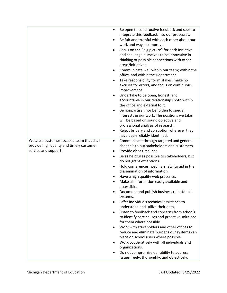|                                                                                                               | Be open to constructive feedback and seek to<br>$\bullet$<br>integrate this feedback into our processes.<br>Be fair and truthful with each other about our<br>work and ways to improve.<br>Focus on the "big picture" for each initiative<br>$\bullet$<br>and challenge ourselves to be innovative in<br>thinking of possible connections with other<br>areas/initiatives.<br>Communicate well within our team; within the<br>$\bullet$<br>office, and within the Department.<br>Take responsibility for mistakes, make no<br>excuses for errors, and focus on continuous<br>improvement<br>Undertake to be open, honest, and<br>$\bullet$<br>accountable in our relationships both within<br>the office and external to it<br>Be nonpartisan nor beholden to special<br>$\bullet$<br>interests in our work. The positions we take<br>will be based on sound objective and<br>professional analysis of research.<br>Reject bribery and corruption wherever they<br>have been reliably identified.          |
|---------------------------------------------------------------------------------------------------------------|------------------------------------------------------------------------------------------------------------------------------------------------------------------------------------------------------------------------------------------------------------------------------------------------------------------------------------------------------------------------------------------------------------------------------------------------------------------------------------------------------------------------------------------------------------------------------------------------------------------------------------------------------------------------------------------------------------------------------------------------------------------------------------------------------------------------------------------------------------------------------------------------------------------------------------------------------------------------------------------------------------|
| We are a customer-focused team that shall<br>provide high quality and timely customer<br>service and support. | Communicate through targeted and general<br>$\bullet$<br>channels to our stakeholders and customers.<br>Provide clear timelines.<br>$\bullet$<br>Be as helpful as possible to stakeholders, but<br>٠<br>do not grant exceptions.<br>Hold conferences, webinars, etc. to aid in the<br>dissemination of information.<br>Have a high quality web presence.<br>Make all information easily available and<br>٠<br>accessible.<br>Document and publish business rules for all<br>systems.<br>Offer individuals technical assistance to<br>understand and utilize their data.<br>Listen to feedback and concerns from schools<br>to identify core causes and proactive solutions<br>for them where possible.<br>Work with stakeholders and other offices to<br>reduce and eliminate burdens our systems can<br>place on school users where possible.<br>Work cooperatively with all individuals and<br>organizations.<br>Do not compromise our ability to address<br>issues freely, thoroughly, and objectively. |